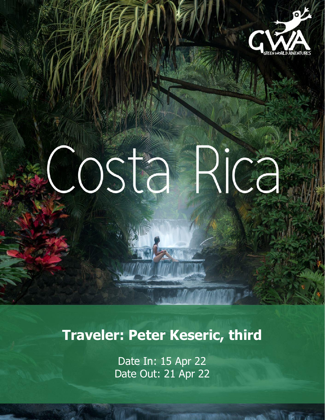

# COSTA Rica

**Traveler: Peter Keseric, third**

Date In: 15 Apr 22 Date Out: 21 Apr 22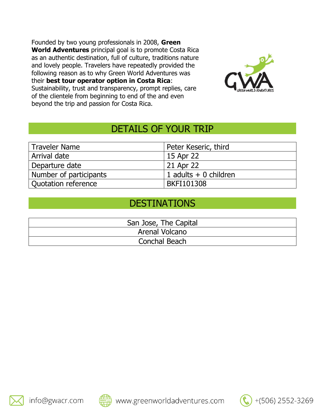Founded by two young professionals in 2008, **Green World Adventures** principal goal is to promote Costa Rica as an authentic destination, full of culture, traditions nature and lovely people. Travelers have repeatedly provided the following reason as to why Green World Adventures was their **best tour operator option in Costa Rica**: Sustainability, trust and transparency, prompt replies, care of the clientele from beginning to end of the and even beyond the trip and passion for Costa Rica.



+(506) 2552-3269

## DETAILS OF YOUR TRIP

| <b>Traveler Name</b>   | Peter Keseric, third      |
|------------------------|---------------------------|
| Arrival date           | 15 Apr 22                 |
| Departure date         | 21 Apr 22                 |
| Number of participants | $1$ adults $+$ 0 children |
| Quotation reference    | <b>BKFI101308</b>         |

## DESTINATIONS

| San Jose, The Capital |
|-----------------------|
| Arenal Volcano        |
| Conchal Beach         |



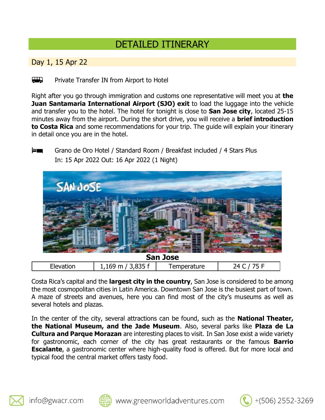## DETAILED ITINERARY

Day 1, 15 Apr 22

 $\overline{a}$ Private Transfer IN from Airport to Hotel

Right after you go through immigration and customs one representative will meet you at **the Juan Santamaria International Airport (SJO) exit** to load the luggage into the vehicle and transfer you to the hotel. The hotel for tonight is close to **San Jose city**, located 25-15 minutes away from the airport. During the short drive, you will receive a **brief introduction to Costa Rica** and some recommendations for your trip. The guide will explain your itinerary in detail once you are in the hotel.

le an Grano de Oro Hotel / Standard Room / Breakfast included / 4 Stars Plus In: 15 Apr 2022 Out: 16 Apr 2022 (1 Night)



Costa Rica's capital and the **largest city in the country**, San Jose is considered to be among the most cosmopolitan cities in Latin America. Downtown San Jose is the busiest part of town. A maze of streets and avenues, here you can find most of the city's museums as well as several hotels and plazas.

In the center of the city, several attractions can be found, such as the **National Theater, the National Museum, and the Jade Museum**. Also, several parks like **Plaza de La Cultura and Parque Morazan** are interesting places to visit. In San Jose exist a wide variety for gastronomic, each corner of the city has great restaurants or the famous **Barrio Escalante**, a gastronomic center where high-quality food is offered. But for more local and typical food the central market offers tasty food.





+(506) 2552-3269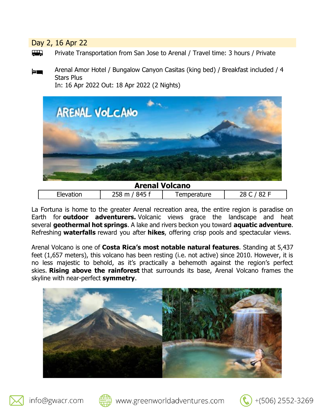Day 2, 16 Apr 22

Private Transportation from San Jose to Arenal / Travel time: 3 hours / Private

Arenal Amor Hotel / Bungalow Canyon Casitas (king bed) / Breakfast included / 4 <u>es mo</u> Stars Plus In: 16 Apr 2022 Out: 18 Apr 2022 (2 Nights)



| <b>Arenal Volcano</b> |                  |              |  |  |
|-----------------------|------------------|--------------|--|--|
| Elevation             | 258 m<br>, 845 f | I emperature |  |  |

La Fortuna is home to the greater Arenal recreation area, the entire region is paradise on Earth for **outdoor adventurers.** Volcanic views grace the landscape and heat several **geothermal hot springs**. A lake and rivers beckon you toward **aquatic adventure**. Refreshing **waterfalls** reward you after **hikes**, offering crisp pools and spectacular views.

Arenal Volcano is one of **Costa Rica's most notable natural features**. Standing at 5,437 feet (1,657 meters), this volcano has been resting (i.e. not active) since 2010. However, it is no less majestic to behold, as it's practically a behemoth against the region's perfect skies. **Rising above the rainforest** that surrounds its base, Arenal Volcano frames the skyline with near-perfect **symmetry**.







www.greenworldadventures.com

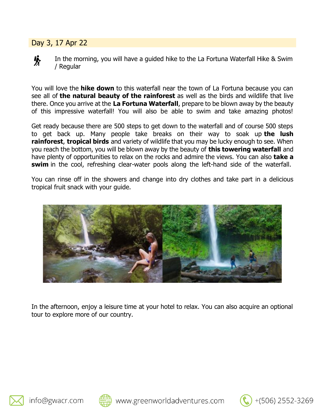### Day 3, 17 Apr 22



In the morning, you will have a guided hike to the La Fortuna Waterfall Hike & Swim / Regular

You will love the **hike down** to this waterfall near the town of La Fortuna because you can see all of **the natural beauty of the rainforest** as well as the birds and wildlife that live there. Once you arrive at the **La Fortuna Waterfall**, prepare to be blown away by the beauty of this impressive waterfall! You will also be able to swim and take amazing photos!

Get ready because there are 500 steps to get down to the waterfall and of course 500 steps to get back up. Many people take breaks on their way to soak up **the lush rainforest**, **tropical birds** and variety of wildlife that you may be lucky enough to see. When you reach the bottom, you will be blown away by the beauty of **this towering waterfall** and have plenty of opportunities to relax on the rocks and admire the views. You can also **take a swim** in the cool, refreshing clear-water pools along the left-hand side of the waterfall.

You can rinse off in the showers and change into dry clothes and take part in a delicious tropical fruit snack with your guide.



In the afternoon, enjoy a leisure time at your hotel to relax. You can also acquire an optional tour to explore more of our country.





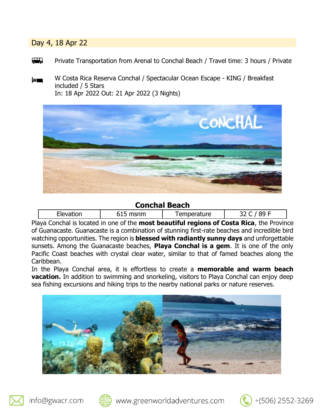#### Day 4, 18 Apr 22

- $\overline{a}$ Private Transportation from Arenal to Conchal Beach / Travel time: 3 hours / Private
- W Costa Rica Reserva Conchal / Spectacular Ocean Escape KING / Breakfast <u>es m</u> included / 5 Stars In: 18 Apr 2022 Out: 21 Apr 2022 (3 Nights)



#### **Conchal Beach**

| $\sim$<br>.<br>emperature<br>w<br>-ا<br>. עי<br>-- 11<br>--<br>-- |  |
|-------------------------------------------------------------------|--|
|-------------------------------------------------------------------|--|

Playa Conchal is located in one of the **most beautiful regions of Costa Rica**, the Province of Guanacaste. Guanacaste is a combination of stunning first-rate beaches and incredible bird watching opportunities. The region is **blessed with radiantly sunny days** and unforgettable sunsets. Among the Guanacaste beaches, **Playa Conchal is a gem**. It is one of the only Pacific Coast beaches with crystal clear water, similar to that of famed beaches along the Caribbean.

In the Playa Conchal area, it is effortless to create a **memorable and warm beach vacation.** In addition to swimming and snorkeling, visitors to Playa Conchal can enjoy deep sea fishing excursions and hiking trips to the nearby national parks or nature reserves.







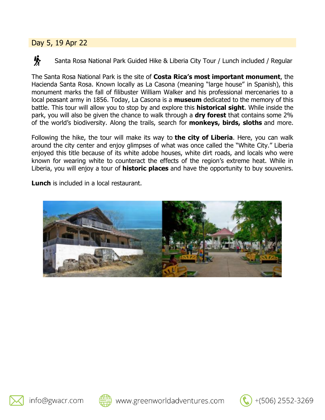## Day 5, 19 Apr 22

咏

Santa Rosa National Park Guided Hike & Liberia City Tour / Lunch included / Regular

The Santa Rosa National Park is the site of **Costa Rica's most important monument**, the Hacienda Santa Rosa. Known locally as La Casona (meaning "large house" in Spanish), this monument marks the fall of filibuster William Walker and his professional mercenaries to a local peasant army in 1856. Today, La Casona is a **museum** dedicated to the memory of this battle. This tour will allow you to stop by and explore this **historical sight**. While inside the park, you will also be given the chance to walk through a **dry forest** that contains some 2% of the world's biodiversity. Along the trails, search for **monkeys, birds, sloths** and more.

Following the hike, the tour will make its way to **the city of Liberia**. Here, you can walk around the city center and enjoy glimpses of what was once called the "White City." Liberia enjoyed this title because of its white adobe houses, white dirt roads, and locals who were known for wearing white to counteract the effects of the region's extreme heat. While in Liberia, you will enjoy a tour of **historic places** and have the opportunity to buy souvenirs.

**Lunch** is included in a local restaurant.







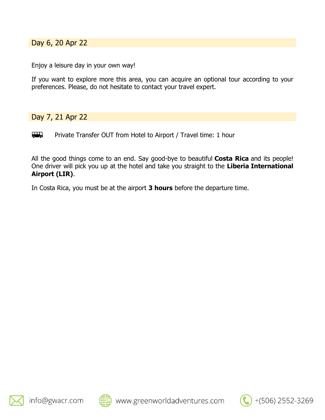Day 6, 20 Apr 22

Enjoy a leisure day in your own way!

If you want to explore more this area, you can acquire an optional tour according to your preferences. Please, do not hesitate to contact your travel expert.

Day 7, 21 Apr 22

 $\overline{\phantom{a}}$ Private Transfer OUT from Hotel to Airport / Travel time: 1 hour

All the good things come to an end. Say good-bye to beautiful **Costa Rica** and its people! One driver will pick you up at the hotel and take you straight to the **Liberia International Airport (LIR)**.

In Costa Rica, you must be at the airport **3 hours** before the departure time.





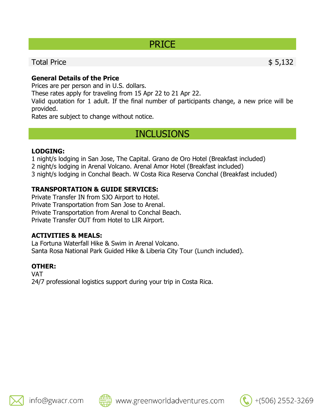## PRICE

## Total Price \$ 5,132

**General Details of the Price**

Prices are per person and in U.S. dollars.

These rates apply for traveling from 15 Apr 22 to 21 Apr 22.

Valid quotation for 1 adult. If the final number of participants change, a new price will be provided.

Rates are subject to change without notice.

## INCLUSIONS

#### **LODGING:**

1 night/s lodging in San Jose, The Capital. Grano de Oro Hotel (Breakfast included)

2 night/s lodging in Arenal Volcano. Arenal Amor Hotel (Breakfast included)

3 night/s lodging in Conchal Beach. W Costa Rica Reserva Conchal (Breakfast included)

#### **TRANSPORTATION & GUIDE SERVICES:**

Private Transfer IN from SJO Airport to Hotel. Private Transportation from San Jose to Arenal. Private Transportation from Arenal to Conchal Beach. Private Transfer OUT from Hotel to LIR Airport.

#### **ACTIVITIES & MEALS:**

La Fortuna Waterfall Hike & Swim in Arenal Volcano. Santa Rosa National Park Guided Hike & Liberia City Tour (Lunch included).

#### **OTHER:**

VAT 24/7 professional logistics support during your trip in Costa Rica.





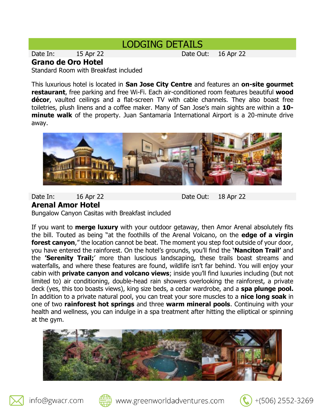## LODGING DETAILS

Date In: 15 Apr 22 Date Out: 16 Apr 22

#### **Grano de Oro Hotel**

Standard Room with Breakfast included

This luxurious hotel is located in **San Jose City Centre** and features an **on-site gourmet restaurant**, free parking and free Wi-Fi. Each air-conditioned room features beautiful **wood décor**, vaulted ceilings and a flat-screen TV with cable channels. They also boast free toiletries, plush linens and a coffee maker. Many of San Jose's main sights are within a **10 minute walk** of the property. Juan Santamaria International Airport is a 20-minute drive away.



Date In: 16 Apr 22 Date Out: 18 Apr 22 **Arenal Amor Hotel** Bungalow Canyon Casitas with Breakfast included

If you want to **merge luxury** with your outdoor getaway, then Amor Arenal absolutely fits the bill. Touted as being "at the foothills of the Arenal Volcano, on the **edge of a virgin forest canyon**," the location cannot be beat. The moment you step foot outside of your door, you have entered the rainforest. On the hotel's grounds, you'll find the **'Nanciton Trail'** and the **'Serenity Trail;**' more than luscious landscaping, these trails boast streams and waterfalls, and where these features are found, wildlife isn't far behind. You will enjoy your cabin with **private canyon and volcano views**; inside you'll find luxuries including (but not limited to) air conditioning, double-head rain showers overlooking the rainforest, a private deck (yes, this too boasts views), king size beds, a cedar wardrobe, and a **spa plunge pool.** In addition to a private natural pool, you can treat your sore muscles to a **nice long soak** in one of two **rainforest hot springs** and three **warm mineral pools**. Continuing with your health and wellness, you can indulge in a spa treatment after hitting the elliptical or spinning at the gym.